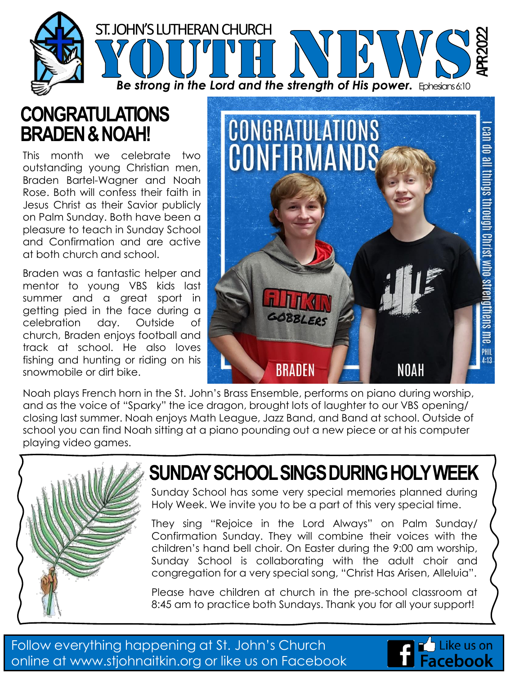

#### **CONGRATULATIONS BRADEN & NOAH!**

This month we celebrate two outstanding young Christian men, Braden Bartel-Wagner and Noah Rose. Both will confess their faith in Jesus Christ as their Savior publicly on Palm Sunday. Both have been a pleasure to teach in Sunday School and Confirmation and are active at both church and school.

Braden was a fantastic helper and mentor to young VBS kids last summer and a great sport in getting pied in the face during a celebration day. Outside of church, Braden enjoys football and track at school. He also loves fishing and hunting or riding on his snowmobile or dirt bike.



Noah plays French horn in the St. John's Brass Ensemble, performs on piano during worship, and as the voice of "Sparky" the ice dragon, brought lots of laughter to our VBS opening/ closing last summer. Noah enjoys Math League, Jazz Band, and Band at school. Outside of school you can find Noah sitting at a piano pounding out a new piece or at his computer playing video games.



# **SUNDAY SCHOOL SINGS DURING HOLY WEEK**

Sunday School has some very special memories planned during Holy Week. We invite you to be a part of this very special time.

They sing "Rejoice in the Lord Always" on Palm Sunday/ Confirmation Sunday. They will combine their voices with the children's hand bell choir. On Easter during the 9:00 am worship, Sunday School is collaborating with the adult choir and congregation for a very special song, "Christ Has Arisen, Alleluia".

Please have children at church in the pre-school classroom at 8:45 am to practice both Sundays. Thank you for all your support!

Follow everything happening at St. John's Church online at www.stjohnaitkin.org or like us on Facebook